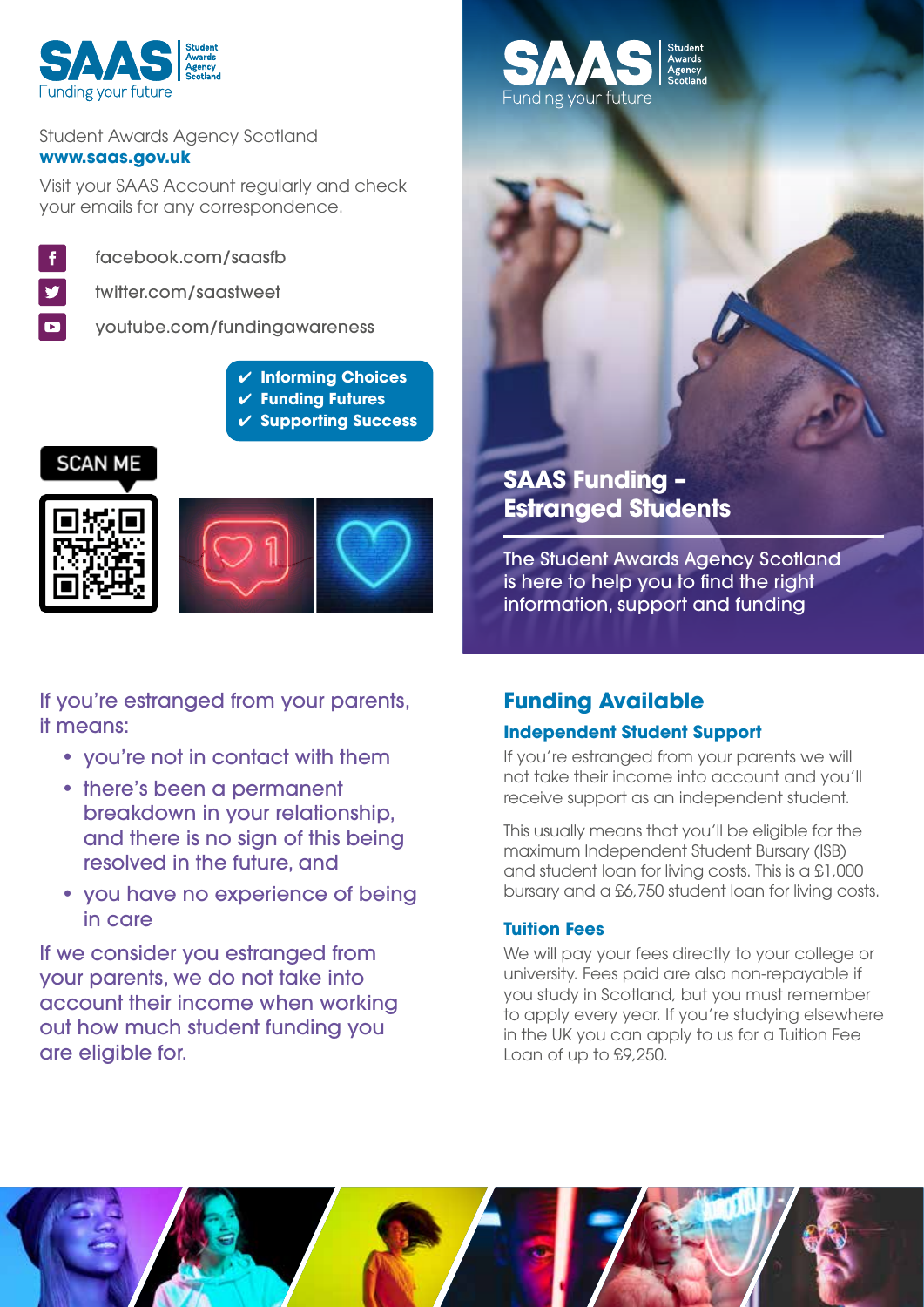

#### Student Awards Agency Scotland **www.saas.gov.uk**

Visit your SAAS Account regularly and check your emails for any correspondence.



facebook.com/saasfb

twitter.com/saastweet

youtube.com/fundingawareness

- ✔ **Informing Choices**
- ✔ **Funding Futures**
- ✔ **Supporting Success**







If you're estranged from your parents, it means:

- you're not in contact with them
- there's been a permanent breakdown in your relationship, and there is no sign of this being resolved in the future, and
- you have no experience of being in care

If we consider you estranged from your parents, we do not take into account their income when working out how much student funding you are eligible for.



## **SAAS Funding – Estranged Students**

The Student Awards Agency Scotland is here to help you to find the right information, support and funding

# **Funding Available**

### **Independent Student Support**

If you're estranged from your parents we will not take their income into account and you'll receive support as an independent student.

This usually means that you'll be eligible for the maximum Independent Student Bursary (ISB) and student loan for living costs. This is a £1,000 bursary and a £6,750 student loan for living costs.

### **Tuition Fees**

We will pay your fees directly to your college or university. Fees paid are also non-repayable if you study in Scotland, but you must remember to apply every year. If you're studying elsewhere in the UK you can apply to us for a Tuition Fee Loan of up to £9,250.